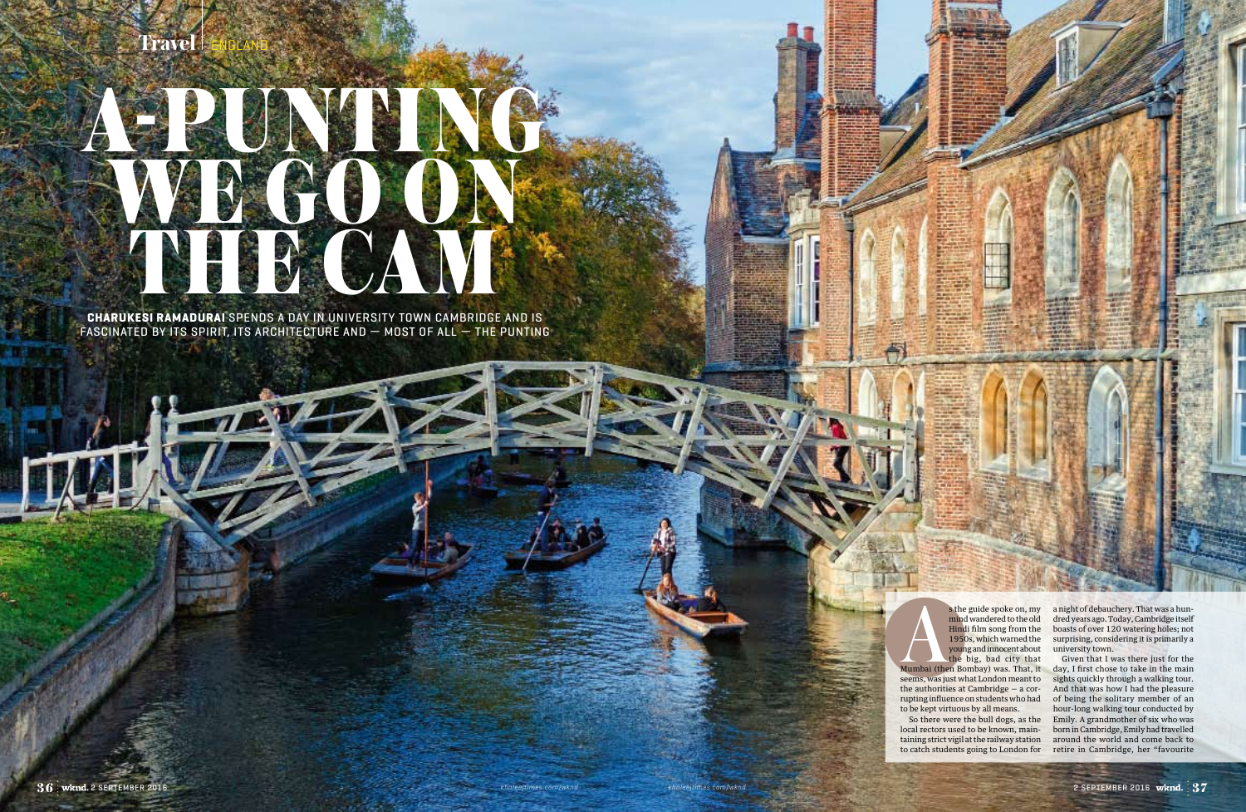## **Travel**

## A-punting we go on THE CAM **a**

**CHARUKESI RAMADURAI** SPENDS A DAY IN UNIVERSITY TOWN CAMBRIDGE AND I fascinated by its spirit, its architecture and — most of all — the punting

 $+$ 

s the guide spoke on, my<br>
mind wandered to the old<br>
Hindi film song from the<br>
1950s, which warned the<br>
young and innocent about<br>
the big, bad city that, it<br>
Mumbai (then Bombay) was. That, it<br>
seems was just what London me mind wandered to the old Hindi film song from the 1950s, which warned the young and innocent about the big, bad city that

seems, was just what London meant to the authorities at Cambridge — a corrupting influence on students who had to be kept virtuous by all means.

s the guide spoke on, my a night of debauchery. That was a hundred years ago. Today, Cambridge itself boasts of over 120 watering holes; not surprising, considering it is primarily a university town.

So there were the bull dogs, as the local rectors used to be known, maintaining strict vigil at the railway station

to catch students going to London for retire in Cambridge, her "favourite Given that I was there just for the day, I first chose to take in the main sights quickly through a walking tour. And that was how I had the pleasure of being the solitary member of an hour-long walking tour conducted by Emily. A grandmother of six who was born in Cambridge, Emily had travelled around the world and come back to